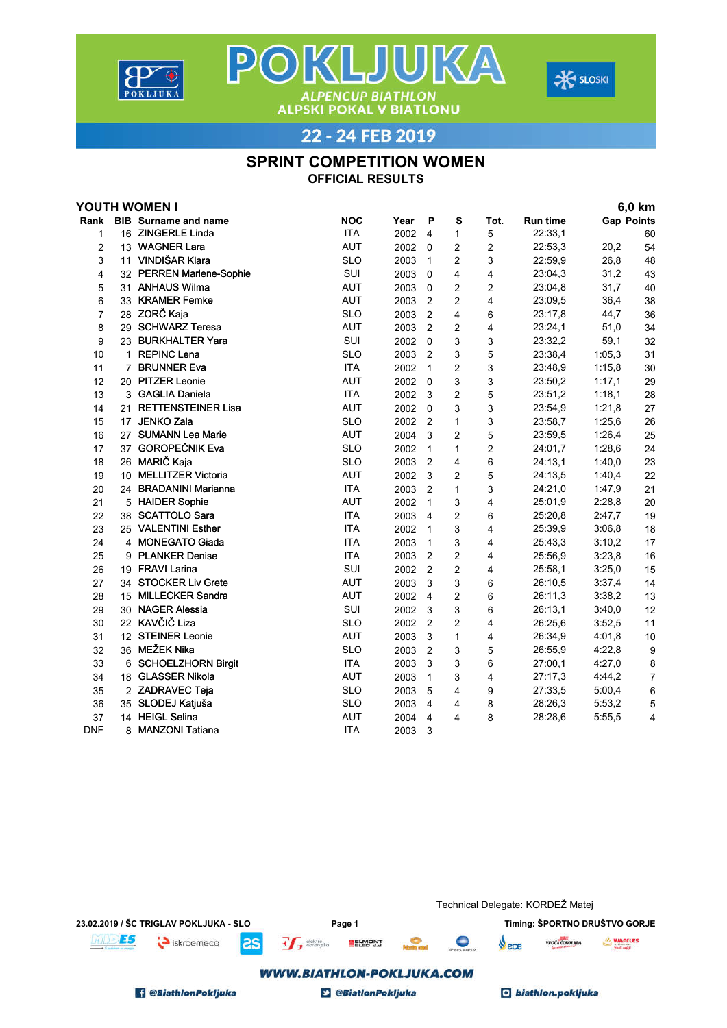



**ALPENCUP BIATHLON<br>ALPSKI POKAL V BIATLONU** 22 - 24 FEB 2019

POKLJUKA

## SPRINT COMPETITION WOMEN

OFFICIAL RESULTS

| YOUTH WOMEN I |                |                             |            |      |                         |                |                         |          | 6,0 km            |                |
|---------------|----------------|-----------------------------|------------|------|-------------------------|----------------|-------------------------|----------|-------------------|----------------|
| Rank          |                | <b>BIB</b> Surname and name | <b>NOC</b> | Year | P                       | s              | Tot.                    | Run time | <b>Gap Points</b> |                |
| 1             |                | 16 ZINGERLE Linda           | <b>ITA</b> | 2002 | $\overline{\mathbf{4}}$ | $\mathbf{1}$   | 5                       | 22:33,1  |                   | 60             |
| 2             |                | 13 WAGNER Lara              | <b>AUT</b> | 2002 | $\Omega$                | 2              | $\overline{c}$          | 22:53,3  | 20,2              | 54             |
| 3             |                | 11 VINDIŠAR Klara           | <b>SLO</b> | 2003 | 1                       | $\overline{c}$ | 3                       | 22:59,9  | 26,8              | 48             |
| 4             |                | 32 PERREN Marlene-Sophie    | SUI        | 2003 | $\mathbf 0$             | 4              | 4                       | 23:04,3  | 31,2              | 43             |
| 5             |                | 31 ANHAUS Wilma             | <b>AUT</b> | 2003 | $\Omega$                | $\overline{c}$ | $\overline{2}$          | 23:04,8  | 31,7              | 40             |
| 6             |                | 33 KRAMER Femke             | <b>AUT</b> | 2003 | $\overline{2}$          | $\overline{c}$ | $\overline{4}$          | 23:09.5  | 36,4              | 38             |
| 7             |                | 28 ZORČ Kaja                | <b>SLO</b> | 2003 | $\overline{2}$          | 4              | 6                       | 23:17,8  | 44,7              | 36             |
| 8             |                | 29 SCHWARZ Teresa           | <b>AUT</b> | 2003 | $\overline{2}$          | $\overline{c}$ | 4                       | 23:24,1  | 51,0              | 34             |
| 9             |                | 23 BURKHALTER Yara          | SUI        | 2002 | $\Omega$                | 3              | 3                       | 23:32,2  | 59,1              | 32             |
| 10            | 1              | <b>REPINC Lena</b>          | <b>SLO</b> | 2003 | 2                       | 3              | 5                       | 23:38,4  | 1:05.3            | 31             |
| 11            | $\overline{7}$ | <b>BRUNNER Eva</b>          | <b>ITA</b> | 2002 | $\mathbf{1}$            | $\overline{c}$ | 3                       | 23:48,9  | 1:15,8            | 30             |
| 12            |                | 20 PITZER Leonie            | <b>AUT</b> | 2002 | $\Omega$                | 3              | 3                       | 23:50,2  | 1:17,1            | 29             |
| 13            |                | 3 GAGLIA Daniela            | <b>ITA</b> | 2002 | 3                       | $\overline{2}$ | 5                       | 23:51,2  | 1:18,1            | 28             |
| 14            | 21             | <b>RETTENSTEINER Lisa</b>   | <b>AUT</b> | 2002 | $\mathbf 0$             | 3              | 3                       | 23:54,9  | 1:21,8            | 27             |
| 15            |                | 17 JENKO Zala               | <b>SLO</b> | 2002 | $\overline{2}$          | 1              | 3                       | 23:58,7  | 1:25,6            | 26             |
| 16            |                | 27 SUMANN Lea Marie         | <b>AUT</b> | 2004 | 3                       | $\overline{c}$ | 5                       | 23:59,5  | 1:26,4            | 25             |
| 17            |                | 37 GOROPEČNIK Eva           | <b>SLO</b> | 2002 | $\mathbf{1}$            | 1              | $\overline{2}$          | 24:01,7  | 1:28.6            | 24             |
| 18            |                | 26 MARIČ Kaja               | <b>SLO</b> | 2003 | $\overline{2}$          | 4              | 6                       | 24:13,1  | 1:40,0            | 23             |
| 19            |                | 10 MELLITZER Victoria       | AUT        | 2002 | 3                       | $\overline{2}$ | 5                       | 24:13,5  | 1:40,4            | 22             |
| 20            |                | 24 BRADANINI Marianna       | <b>ITA</b> | 2003 | $\overline{2}$          | $\mathbf{1}$   | 3                       | 24:21,0  | 1:47,9            | 21             |
| 21            |                | 5 HAIDER Sophie             | AUT        | 2002 | $\mathbf{1}$            | 3              | 4                       | 25:01,9  | 2:28,8            | 20             |
| 22            |                | 38 SCATTOLO Sara            | <b>ITA</b> | 2003 | $\overline{4}$          | $\overline{2}$ | 6                       | 25:20,8  | 2:47,7            | 19             |
| 23            |                | 25 VALENTINI Esther         | <b>ITA</b> | 2002 | $\mathbf{1}$            | 3              | 4                       | 25:39,9  | 3:06,8            | 18             |
| 24            |                | 4 MONEGATO Giada            | <b>ITA</b> | 2003 | $\mathbf{1}$            | 3              | 4                       | 25:43,3  | 3:10,2            | 17             |
| 25            |                | 9 PLANKER Denise            | <b>ITA</b> | 2003 | $\overline{2}$          | $\overline{c}$ | $\overline{\mathbf{4}}$ | 25:56,9  | 3:23,8            | 16             |
| 26            |                | 19 FRAVI Larina             | SUI        | 2002 | $\overline{2}$          | $\overline{c}$ | 4                       | 25:58,1  | 3:25,0            | 15             |
| 27            |                | 34 STOCKER Liv Grete        | <b>AUT</b> | 2003 | 3                       | 3              | 6                       | 26:10.5  | 3:37,4            | 14             |
| 28            |                | 15 MILLECKER Sandra         | <b>AUT</b> | 2002 | $\overline{4}$          | $\overline{2}$ | 6                       | 26:11,3  | 3:38,2            | 13             |
| 29            |                | 30 NAGER Alessia            | SUI        | 2002 | 3                       | 3              | 6                       | 26:13,1  | 3:40,0            | 12             |
| 30            |                | 22 KAVČIČ Liza              | <b>SLO</b> | 2002 | $\overline{2}$          | $\overline{2}$ | $\overline{\mathbf{4}}$ | 26:25.6  | 3:52.5            | 11             |
| 31            |                | 12 STEINER Leonie           | AUT        | 2003 | 3                       | $\mathbf{1}$   | 4                       | 26:34,9  | 4:01,8            | 10             |
| 32            |                | 36 MEŽEK Nika               | <b>SLO</b> | 2003 | $\overline{2}$          | 3              | 5                       | 26:55,9  | 4:22,8            | 9              |
| 33            |                | 6 SCHOELZHORN Birgit        | <b>ITA</b> | 2003 | 3                       | 3              | 6                       | 27:00.1  | 4:27,0            | 8              |
| 34            |                | 18 GLASSER Nikola           | <b>AUT</b> | 2003 | $\mathbf{1}$            | 3              | 4                       | 27:17,3  | 4:44,2            | $\overline{7}$ |
| 35            |                | 2 ZADRAVEC Teja             | <b>SLO</b> | 2003 | 5                       | 4              | 9                       | 27:33,5  | 5:00,4            | 6              |
| 36            |                | 35 SLODEJ Katjuša           | <b>SLO</b> | 2003 | 4                       | 4              | 8                       | 28:26,3  | 5:53,2            | 5              |
| 37            |                | 14 HEIGL Selina             | <b>AUT</b> | 2004 | 4                       | 4              | 8                       | 28:28.6  | 5:55,5            | 4              |
| <b>DNF</b>    | 8              | <b>MANZONI Tatiana</b>      | <b>ITA</b> | 2003 | 3                       |                |                         |          |                   |                |